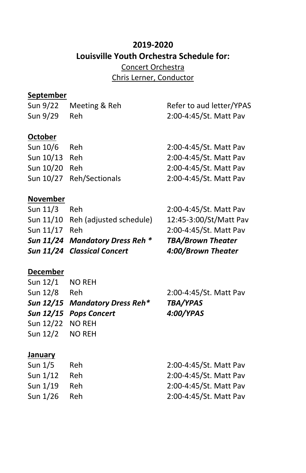# **2019-2020 Louisville Youth Orchestra Schedule for:** Concert Orchestra

Chris Lerner, Conductor

# **September**

| Sun 9/22       | Meeting & Reh            | Refer to aud letter/YPAS |
|----------------|--------------------------|--------------------------|
| Sun 9/29       | <b>Reh</b>               | 2:00-4:45/St. Matt Pav   |
|                |                          |                          |
| <b>October</b> |                          |                          |
| Sun 10/6       | Reh.                     | 2:00-4:45/St. Matt Pav   |
| Sun 10/13 Reh  |                          | 2:00-4:45/St. Matt Pav   |
| Sun 10/20 Reh  |                          | 2:00-4:45/St. Matt Pav   |
|                | Sun 10/27 Reh/Sectionals | 2:00-4:45/St. Matt Pav   |
|                |                          |                          |

# **November**

|               | Sun 11/24 Mandatory Dress Reh *<br>Sun 11/24 Classical Concert | <b>TBA/Brown Theater</b><br>4:00/Brown Theater |
|---------------|----------------------------------------------------------------|------------------------------------------------|
| Sun 11/17 Reh |                                                                | 2:00-4:45/St. Matt Pav                         |
|               | Sun 11/10 Reh (adjusted schedule)                              | 12:45-3:00/St/Matt Pav                         |
| Sun 11/3 Reh  |                                                                | 2:00-4:45/St. Matt Pav                         |

## **December**

| Sun 12/1 NO REH  |                                |                        |
|------------------|--------------------------------|------------------------|
| Sun 12/8 Reh     |                                | 2:00-4:45/St. Matt Pav |
|                  | Sun 12/15 Mandatory Dress Reh* | <b>TBA/YPAS</b>        |
|                  | Sun 12/15 Pops Concert         | 4:00/YPAS              |
| Sun 12/22 NO REH |                                |                        |
| Sun 12/2 NO REH  |                                |                        |
|                  |                                |                        |

#### **January**

| Sun $1/5$      | Reh. | 2:00-4:45/St. Matt Pav |
|----------------|------|------------------------|
| Sun 1/12       | Reh  | 2:00-4:45/St. Matt Pav |
| Sun 1/19       | Reh  | 2:00-4:45/St. Matt Pav |
| Sun $1/26$ Reh |      | 2:00-4:45/St. Matt Pav |
|                |      |                        |